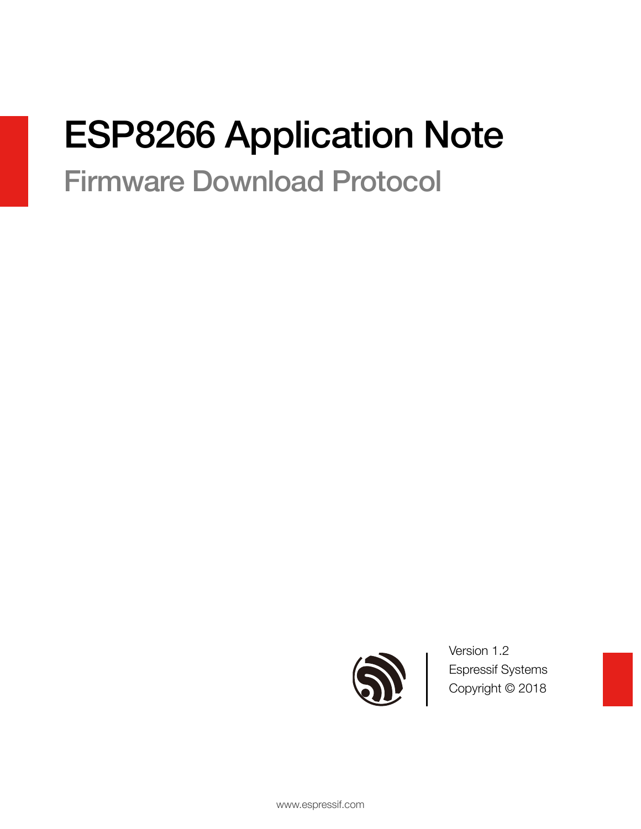# ESP8266 Application Note

# Firmware Download Protocol



Version 1.2 Espressif Systems Copyright © 2018

www.espressif.com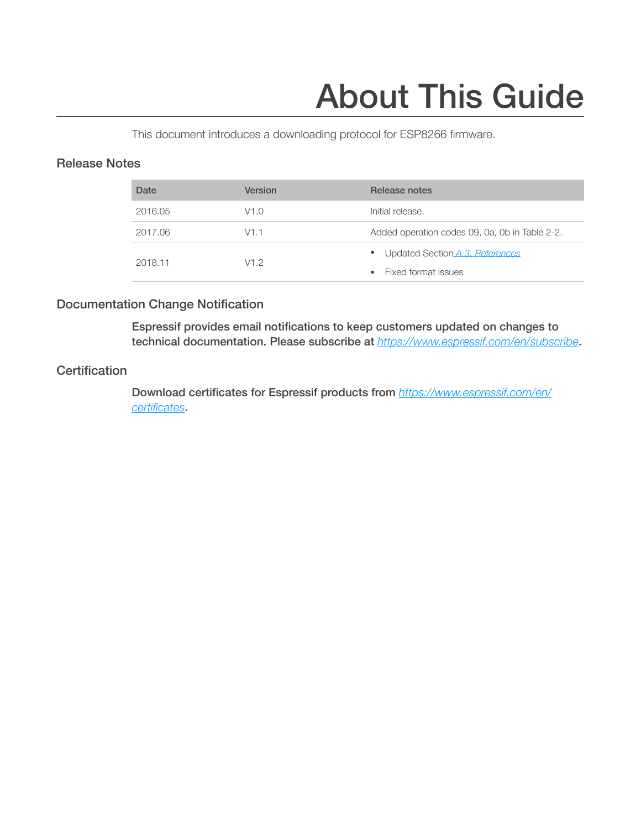# About This Guide

This document introduces a downloading protocol for ESP8266 firmware.

#### Release Notes

| Date    | Version | Release notes                                  |
|---------|---------|------------------------------------------------|
| 2016.05 | V1.0    | Initial release.                               |
| 2017.06 | V1.1    | Added operation codes 09, 0a, 0b in Table 2-2. |
| 2018.11 | V1.2    | Updated Section A.3. References<br>$\bullet$   |
|         |         | Fixed format issues                            |

#### Documentation Change Notification

Espressif provides email notifications to keep customers updated on changes to technical documentation. Please subscribe at *<https://www.espressif.com/en/subscribe>*.

#### **Certification**

Download certificates for Espressif products from *[https://www.espressif.com/en/](https://www.espressif.com/en/certificates) [certificates](https://www.espressif.com/en/certificates)*.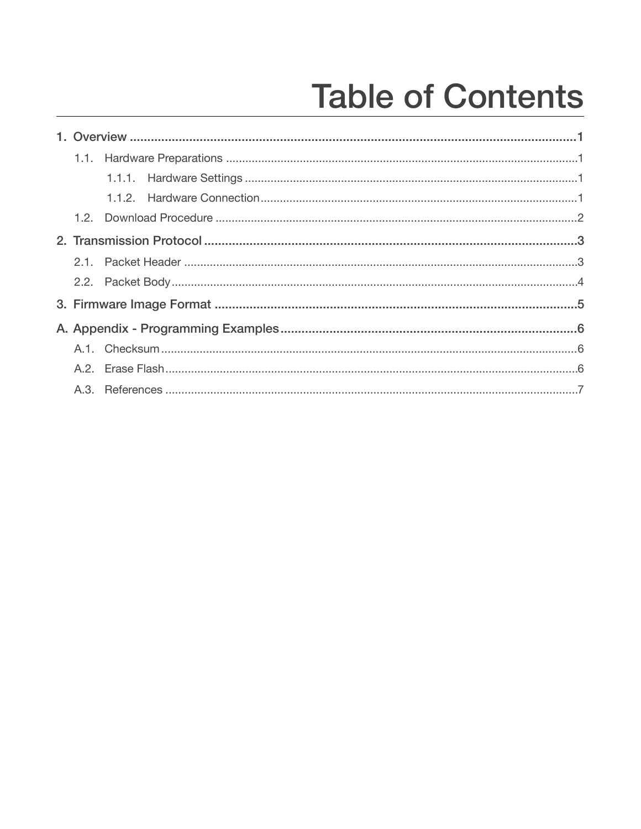# **Table of Contents**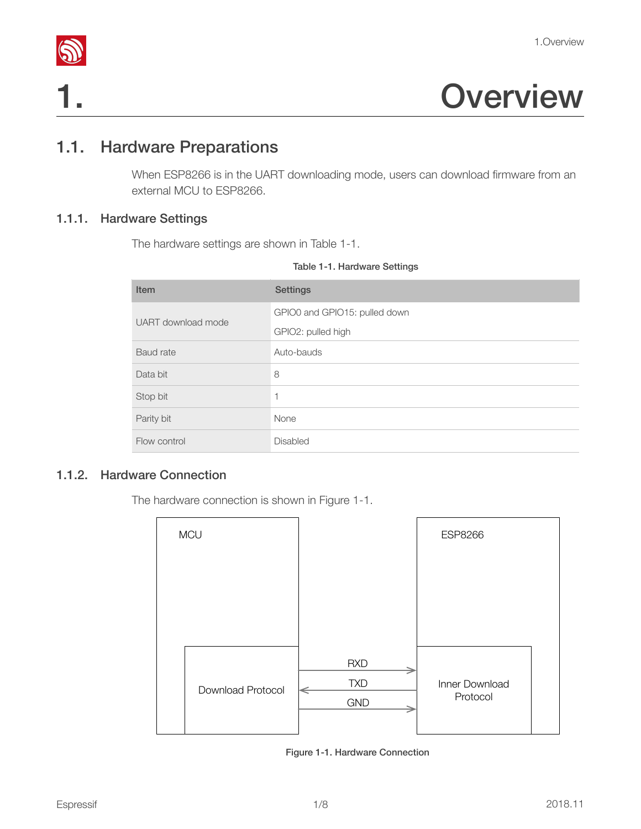

# 1. Overview

# 1.1. Hardware Preparations

<span id="page-3-1"></span>When ESP8266 is in the UART downloading mode, users can download firmware from an external MCU to ESP8266.

#### 1.1.1. Hardware Settings

<span id="page-3-2"></span>The hardware settings are shown in Table 1-1.

<span id="page-3-0"></span>

|  | Table 1-1. Hardware Settings |  |
|--|------------------------------|--|
|  |                              |  |

| Item               | <b>Settings</b>               |
|--------------------|-------------------------------|
| UART download mode | GPIO0 and GPIO15: pulled down |
|                    | GPIO2: pulled high            |
| Baud rate          | Auto-bauds                    |
| Data bit           | 8                             |
| Stop bit           | $\mathbf 1$                   |
| Parity bit         | None                          |
| Flow control       | <b>Disabled</b>               |

#### 1.1.2. Hardware Connection

<span id="page-3-3"></span>The hardware connection is shown in Figure 1-1.

| <b>MCU</b> |                   |                                        | <b>ESP8266</b>             |  |
|------------|-------------------|----------------------------------------|----------------------------|--|
|            |                   |                                        |                            |  |
|            |                   |                                        |                            |  |
|            | Download Protocol | <b>RXD</b><br><b>TXD</b><br><b>GND</b> | Inner Download<br>Protocol |  |

Figure 1-1. Hardware Connection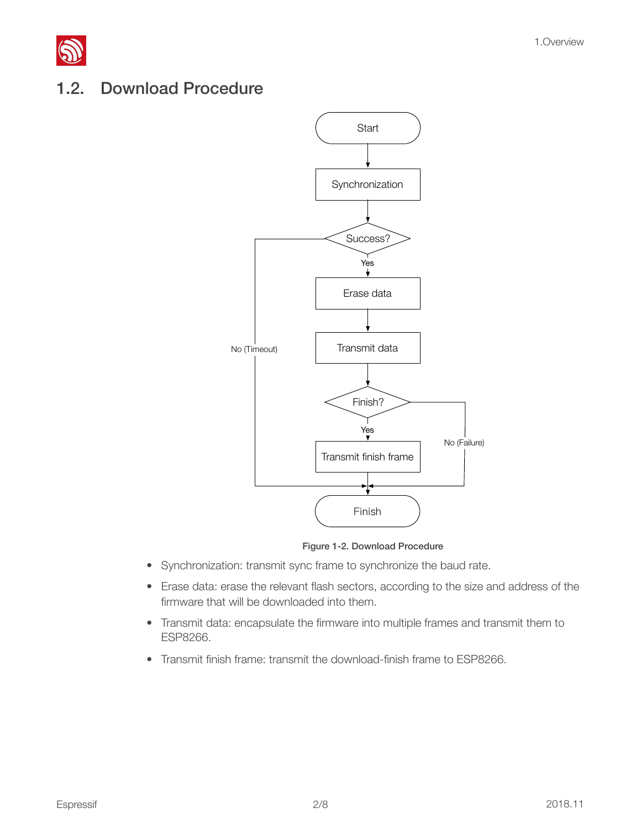

## <span id="page-4-0"></span>1.2. Download Procedure



Figure 1-2. Download Procedure

- Synchronization: transmit sync frame to synchronize the baud rate.
- Erase data: erase the relevant flash sectors, according to the size and address of the firmware that will be downloaded into them.
- Transmit data: encapsulate the firmware into multiple frames and transmit them to ESP8266.
- Transmit finish frame: transmit the download-finish frame to ESP8266.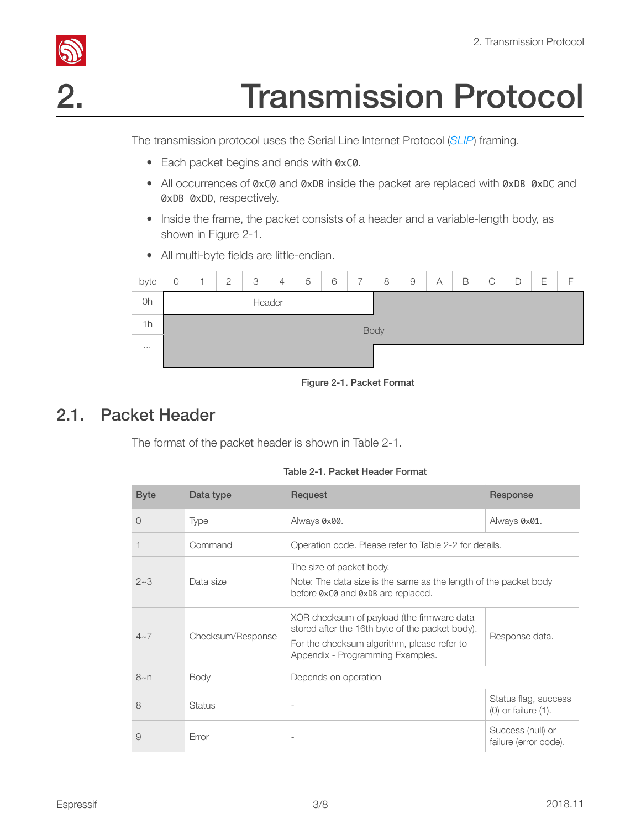



The transmission protocol uses the Serial Line Internet Protocol (*[SLIP](https://en.wikipedia.org/wiki/SLIP)*) framing.

- <span id="page-5-0"></span>• Each packet begins and ends with 0xC0.
- All occurrences of 0xC0 and 0xDB inside the packet are replaced with 0xDB 0xDC and 0xDB 0xDD, respectively.
- Inside the frame, the packet consists of a header and a variable-length body, as shown in Figure 2-1.
- All multi-byte fields are little-endian.



Figure 2-1. Packet Format

## 2.1. Packet Header

<span id="page-5-1"></span>The format of the packet header is shown in Table 2-1.

|  |  | Table 2-1, Packet Header Format |  |
|--|--|---------------------------------|--|

| <b>Byte</b> | Data type         | Request                                                                                                                                                                          | Response                                         |  |  |
|-------------|-------------------|----------------------------------------------------------------------------------------------------------------------------------------------------------------------------------|--------------------------------------------------|--|--|
| $\bigcirc$  | <b>Type</b>       | Always 0x00.                                                                                                                                                                     | Always 0x01.                                     |  |  |
|             | Command           | Operation code. Please refer to Table 2-2 for details.                                                                                                                           |                                                  |  |  |
| $2 - 3$     | Data size         | The size of packet body.<br>Note: The data size is the same as the length of the packet body<br>before 0xC0 and 0xDB are replaced.                                               |                                                  |  |  |
| $4 - 7$     | Checksum/Response | XOR checksum of payload (the firmware data<br>stored after the 16th byte of the packet body).<br>For the checksum algorithm, please refer to<br>Appendix - Programming Examples. | Response data.                                   |  |  |
| 8~n         | <b>Body</b>       | Depends on operation                                                                                                                                                             |                                                  |  |  |
| 8           | <b>Status</b>     |                                                                                                                                                                                  | Status flag, success<br>$(0)$ or failure $(1)$ . |  |  |
| 9           | Error             |                                                                                                                                                                                  | Success (null) or<br>failure (error code).       |  |  |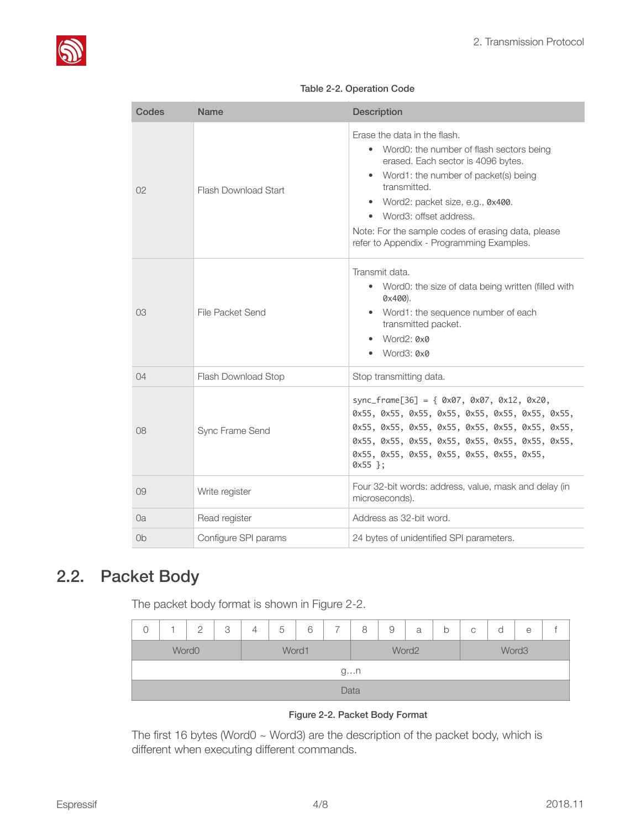

| Codes          | Name                        | <b>Description</b>                                                                                                                                                                                                                                                                                                                                     |
|----------------|-----------------------------|--------------------------------------------------------------------------------------------------------------------------------------------------------------------------------------------------------------------------------------------------------------------------------------------------------------------------------------------------------|
| 02             | <b>Flash Download Start</b> | Erase the data in the flash.<br>Word0: the number of flash sectors being<br>erased. Each sector is 4096 bytes.<br>• Word1: the number of packet(s) being<br>transmitted.<br>Word2: packet size, e.g., 0x400.<br>Word3: offset address.<br>$\bullet$<br>Note: For the sample codes of erasing data, please<br>refer to Appendix - Programming Examples. |
| 03             | File Packet Send            | Transmit data.<br>Word0: the size of data being written (filled with<br>٠<br>$0x400$ ).<br>Word1: the sequence number of each<br>transmitted packet.<br>Word2: 0x0<br>Word3: 0x0                                                                                                                                                                       |
| 04             | Flash Download Stop         | Stop transmitting data.                                                                                                                                                                                                                                                                                                                                |
| 08             | Sync Frame Send             | sync_frame[36] = { $0x07$ , $0x07$ , $0x12$ , $0x20$ ,<br>0x55, 0x55, 0x55, 0x55, 0x55, 0x55, 0x55, 0x55,<br>0x55, 0x55, 0x55, 0x55, 0x55, 0x55, 0x55, 0x55,<br>0x55, 0x55, 0x55, 0x55, 0x55, 0x55, 0x55, 0x55,<br>0x55, 0x55, 0x55, 0x55, 0x55, 0x55, 0x55,<br>$0x55$ };                                                                              |
| 09             | Write register              | Four 32-bit words: address, value, mask and delay (in<br>microseconds).                                                                                                                                                                                                                                                                                |
| 0a             | Read register               | Address as 32-bit word.                                                                                                                                                                                                                                                                                                                                |
| 0 <sub>b</sub> | Configure SPI params        | 24 bytes of unidentified SPI parameters.                                                                                                                                                                                                                                                                                                               |

#### Table 2-2. Operation Code

## 2.2. Packet Body

<span id="page-6-0"></span>The packet body format is shown in Figure 2-2.

| C                          |      | $\cap$ | 3 | 4 | 5 | 6 |  | 8     | 9 | a                 | b | $\mathsf C$ | a | е |  |
|----------------------------|------|--------|---|---|---|---|--|-------|---|-------------------|---|-------------|---|---|--|
| Word1<br>Word <sub>0</sub> |      |        |   |   |   |   |  | Word2 |   | Word <sub>3</sub> |   |             |   |   |  |
|                            | gn   |        |   |   |   |   |  |       |   |                   |   |             |   |   |  |
|                            | Data |        |   |   |   |   |  |       |   |                   |   |             |   |   |  |

#### Figure 2-2. Packet Body Format

The first 16 bytes (Word0  $\sim$  Word3) are the description of the packet body, which is different when executing different commands.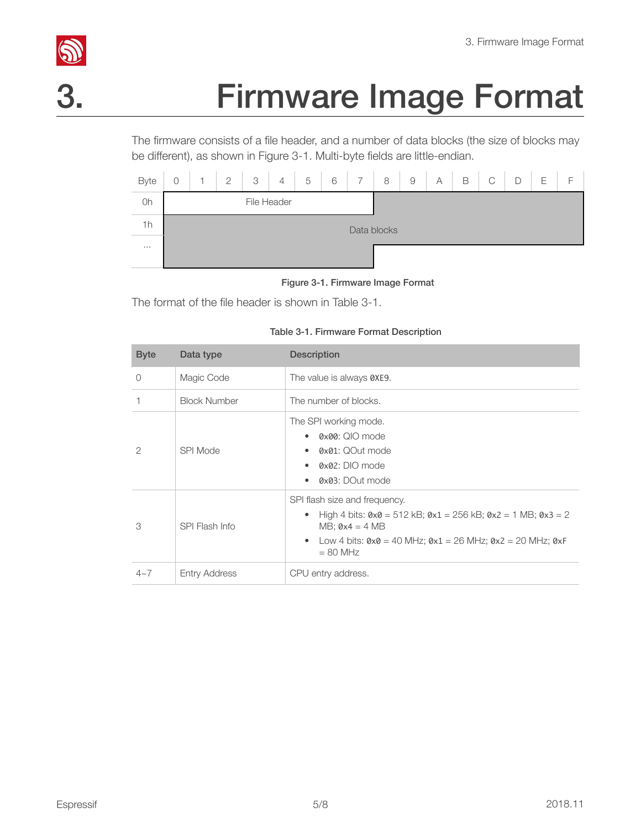

# **S.**<br>3. Firmware Image Format

<span id="page-7-0"></span>The firmware consists of a file header, and a number of data blocks (the size of blocks may be different), as shown in Figure 3-1. Multi-byte fields are little-endian.

| Byte |             | н | $\overline{2}$ | 3 | $\overline{4}$ | 5 | 6 | $\overline{7}$ | 8 | $\overline{9}$ | А | B | C | D | Ε | F |
|------|-------------|---|----------------|---|----------------|---|---|----------------|---|----------------|---|---|---|---|---|---|
| 0h   | File Header |   |                |   |                |   |   |                |   |                |   |   |   |   |   |   |
| 1h   | Data blocks |   |                |   |                |   |   |                |   |                |   |   |   |   |   |   |
| 1.11 |             |   |                |   |                |   |   |                |   |                |   |   |   |   |   |   |

Figure 3-1. Firmware Image Format

The format of the file header is shown in Table 3-1.

| <b>Byte</b>   | Data type            | <b>Description</b>                                                                                                                                                                                                                                                      |
|---------------|----------------------|-------------------------------------------------------------------------------------------------------------------------------------------------------------------------------------------------------------------------------------------------------------------------|
| $\Omega$      | Magic Code           | The value is always 0XE9.                                                                                                                                                                                                                                               |
|               | <b>Block Number</b>  | The number of blocks.                                                                                                                                                                                                                                                   |
| $\mathcal{P}$ | SPI Mode             | The SPI working mode.<br>0x00: QIO mode<br>0x01: QOut mode<br>$Q \times Q$ 2: DIO mode<br>0x03: DOut mode                                                                                                                                                               |
| 3             | SPI Flash Info       | SPI flash size and frequency.<br>High 4 bits: $0 \times 0 = 512$ kB; $0 \times 1 = 256$ kB; $0 \times 2 = 1$ MB; $0 \times 3 = 2$<br>$MB$ ; $0x4 = 4 MB$<br>Low 4 bits: $0 \times 0 = 40$ MHz; $0 \times 1 = 26$ MHz; $0 \times 2 = 20$ MHz; $0 \times F$<br>$= 80$ MHz |
| $4 - 7$       | <b>Entry Address</b> | CPU entry address.                                                                                                                                                                                                                                                      |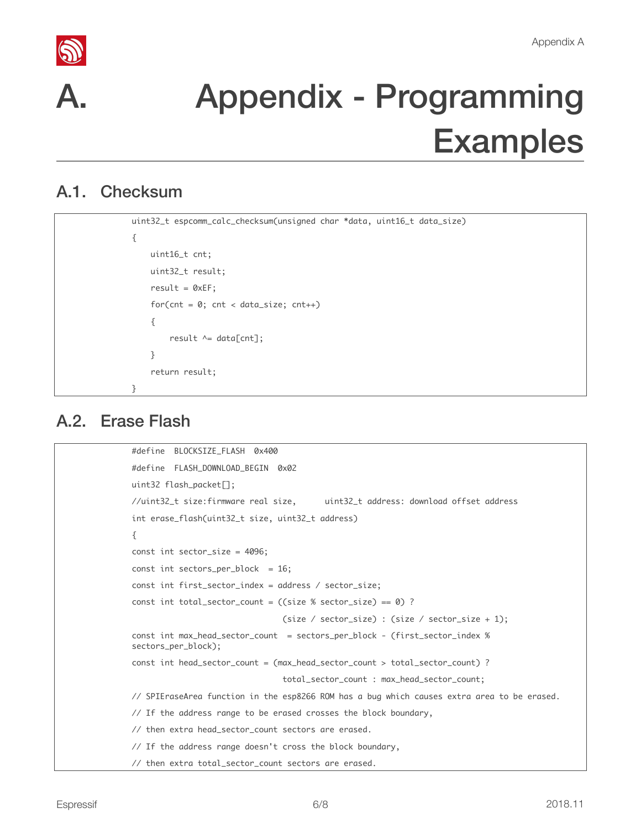



# <span id="page-8-0"></span>Appendix - Programming Examples

## A.1. Checksum

```
uint32_t	espcomm_calc_checksum(unsigned	char	*data,	uint16_t	data_size)

{

    uint16_t cnt;
    uint32_t result;
    result = 0xEF;for(cnt = 0; cnt < data_size; cnt++)				{
        result \wedge= data[cnt];
    				}
    return result;
}
```
## A.2. Erase Flash

```
#define		BLOCKSIZE_FLASH		0x400
#define FLASH_DOWNLOAD_BEGIN 0x02
uint32	flash_packet[];
//uint32_t	size:firmware	real	size,	 	uint32_t	address:	download	offset	address

int erase_flash(uint32_t size, uint32_t address)
{

const int sector_size = 4096;
const int sectors_per_block = 16;
const int first_sector_index = address / sector_size;
const int total_sector_count = ((size % sector_size) == 0) ?
                                 (size / sector_size) : (size / sector_size + 1);const int max_head_sector_count = sectors_per_block - (first_sector_index %)
sectors_per_block);
const int head_sector_count = (max_head_sector_count > total_sector_count) ?
                                 																																total_sector_count	:	max_head_sector_count;
// SPIEraseArea function in the esp8266 ROM has a bug which causes extra area to be erased.
// If the address range to be erased crosses the block boundary,
// then extra head_sector_count sectors are erased.
// If the address range doesn't cross the block boundary,
// then extra total_sector_count sectors are erased.
```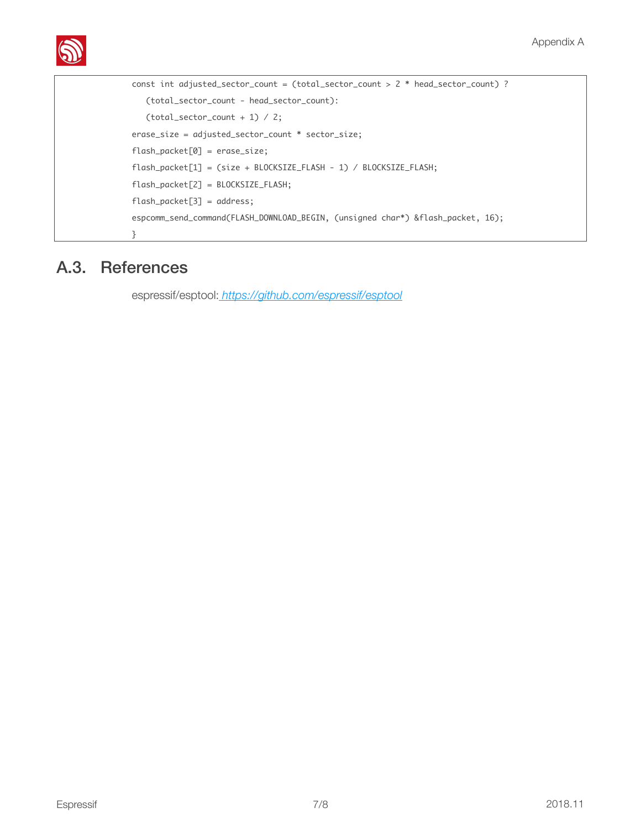

```
const int adjusted_sector_count = (total_sector_count > 2 * head_sector_count) ?
			(total_sector_count	-	head_sector_count):

(total\_sector\_count + 1) / 2;erase_size	=	adjusted_sector_count	*	sector_size;

flash_packet[0]	=	erase_size;

flash_packet[1] = (size + BLOCKSIZE_FLASH - 1) / BLOCKSIZE_FLASH;
flash_packet[2]	=	BLOCKSIZE_FLASH;

flash_packet[3] = address;
espcomm_send_command(FLASH_DOWNLOAD_BEGIN, (unsigned char*) &flash_packet, 16);
}
```
## A.3. References

<span id="page-9-0"></span>espressif/esptool:*<https://github.com/espressif/esptool>*